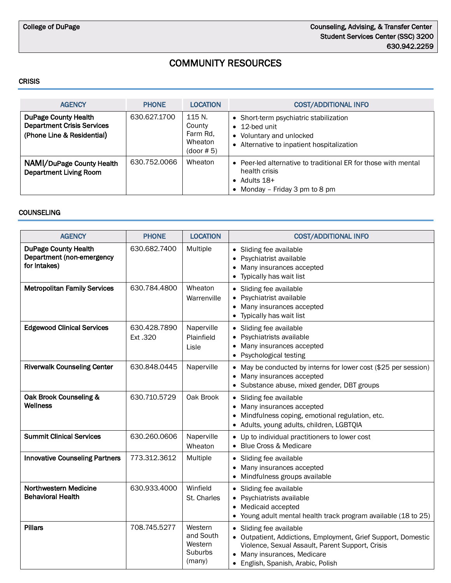# COMMUNITY RESOURCES

#### **CRISIS**

| <b>AGENCY</b>                                                                                  | <b>PHONE</b> | <b>LOCATION</b>                                       | <b>COST/ADDITIONAL INFO</b>                                                                                                               |
|------------------------------------------------------------------------------------------------|--------------|-------------------------------------------------------|-------------------------------------------------------------------------------------------------------------------------------------------|
| <b>DuPage County Health</b><br><b>Department Crisis Services</b><br>(Phone Line & Residential) | 630.627.1700 | 115 N.<br>County<br>Farm Rd.<br>Wheaton<br>(door # 5) | • Short-term psychiatric stabilization<br>$\bullet$ 12-bed unit<br>• Voluntary and unlocked<br>• Alternative to inpatient hospitalization |
| NAMI/DuPage County Health<br><b>Department Living Room</b>                                     | 630.752.0066 | Wheaton                                               | • Peer-led alternative to traditional ER for those with mental<br>health crisis<br>• Adults $18+$<br>• Monday – Friday 3 pm to 8 pm       |

#### **COUNSELING**

| COUNSELING                                                               |                         |                                                      |                                                                                                                                                                                                                              |
|--------------------------------------------------------------------------|-------------------------|------------------------------------------------------|------------------------------------------------------------------------------------------------------------------------------------------------------------------------------------------------------------------------------|
| <b>AGENCY</b>                                                            | <b>PHONE</b>            | <b>LOCATION</b>                                      | <b>COST/ADDITIONAL INFO</b>                                                                                                                                                                                                  |
| <b>DuPage County Health</b><br>Department (non-emergency<br>for Intakes) | 630.682.7400            | Multiple                                             | • Sliding fee available<br>• Psychiatrist available<br>Many insurances accepted<br>Typically has wait list                                                                                                                   |
| <b>Metropolitan Family Services</b>                                      | 630.784.4800            | Wheaton<br>Warrenville                               | • Sliding fee available<br>• Psychiatrist available<br>Many insurances accepted<br>Typically has wait list                                                                                                                   |
| <b>Edgewood Clinical Services</b>                                        | 630.428.7890<br>Ext.320 | Naperville<br>Plainfield<br>Lisle                    | • Sliding fee available<br>• Psychiatrists available<br>Many insurances accepted<br>• Psychological testing                                                                                                                  |
| <b>Riverwalk Counseling Center</b>                                       | 630.848.0445            | Naperville                                           | • May be conducted by interns for lower cost (\$25 per session)<br>• Many insurances accepted<br>• Substance abuse, mixed gender, DBT groups                                                                                 |
| Oak Brook Counseling &<br>Wellness                                       | 630.710.5729            | Oak Brook                                            | • Sliding fee available<br>Many insurances accepted<br>Mindfulness coping, emotional regulation, etc.<br>• Adults, young adults, children, LGBTQIA                                                                           |
| <b>Summit Clinical Services</b>                                          | 630.260.0606            | Naperville<br>Wheaton                                | • Up to individual practitioners to lower cost<br>• Blue Cross & Medicare                                                                                                                                                    |
| <b>Innovative Counseling Partners</b>                                    | 773.312.3612            | Multiple                                             | • Sliding fee available<br>• Many insurances accepted<br>Mindfulness groups available                                                                                                                                        |
| Northwestern Medicine<br><b>Behavioral Health</b>                        | 630.933.4000            | Winfield<br>St. Charles                              | • Sliding fee available<br>• Psychiatrists available<br>• Medicaid accepted<br>• Young adult mental health track program available (18 to 25)                                                                                |
| <b>Pillars</b>                                                           | 708.745.5277            | Western<br>and South<br>Western<br>Suburbs<br>(many) | • Sliding fee available<br>• Outpatient, Addictions, Employment, Grief Support, Domestic<br>Violence, Sexual Assault, Parent Support, Crisis<br>• Many insurances, Medicare<br>English, Spanish, Arabic, Polish<br>$\bullet$ |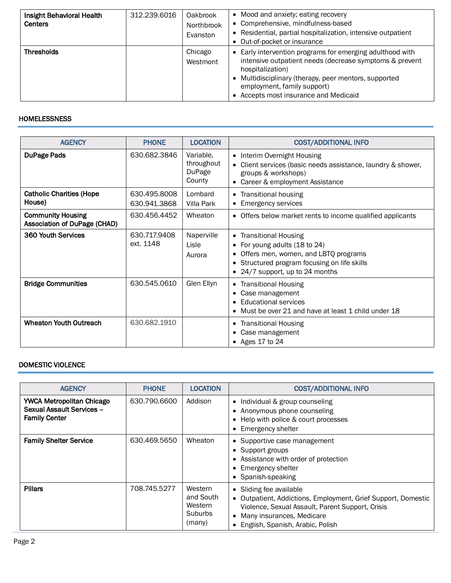| Insight Behavioral Health<br><b>Centers</b> | 312.239.6016 | Oakbrook<br>Northbrook<br>Evanston | • Mood and anxiety; eating recovery<br>• Comprehensive, mindfulness-based<br>• Residential, partial hospitalization, intensive outpatient<br>• Out-of-pocket or insurance                                                                                                 |
|---------------------------------------------|--------------|------------------------------------|---------------------------------------------------------------------------------------------------------------------------------------------------------------------------------------------------------------------------------------------------------------------------|
| <b>Thresholds</b>                           |              | Chicago<br>Westmont                | • Early intervention programs for emerging adulthood with<br>intensive outpatient needs (decrease symptoms & prevent<br>hospitalization)<br>• Multidisciplinary (therapy, peer mentors, supported<br>employment, family support)<br>• Accepts most insurance and Medicaid |

# **HOMELESSNESS**

| <b>AGENCY</b>                                                   | <b>PHONE</b>                 | <b>LOCATION</b>                             | <b>COST/ADDITIONAL INFO</b>                                                                                                                                                  |
|-----------------------------------------------------------------|------------------------------|---------------------------------------------|------------------------------------------------------------------------------------------------------------------------------------------------------------------------------|
| <b>DuPage Pads</b>                                              | 630.682.3846                 | Variable,<br>throughout<br>DuPage<br>County | Interim Overnight Housing<br>$\bullet$<br>Client services (basic needs assistance, laundry & shower,<br>groups & workshops)<br>Career & employment Assistance                |
| <b>Catholic Charities (Hope</b><br>House)                       | 630.495.8008<br>630.941.3868 | Lombard<br>Villa Park                       | • Transitional housing<br><b>Emergency services</b>                                                                                                                          |
| <b>Community Housing</b><br><b>Association of DuPage (CHAD)</b> | 630.456.4452                 | Wheaton                                     | • Offers below market rents to income qualified applicants                                                                                                                   |
| 360 Youth Services                                              | 630.717.9408<br>ext. 1148    | Naperville<br>Lisle<br>Aurora               | • Transitional Housing<br>For young adults (18 to 24)<br>Offers men, women, and LBTQ programs<br>Structured program focusing on life skills<br>24/7 support, up to 24 months |
| <b>Bridge Communities</b>                                       | 630.545.0610                 | Glen Ellyn                                  | • Transitional Housing<br>Case management<br><b>Educational services</b><br>Must be over 21 and have at least 1 child under 18                                               |
| <b>Wheaton Youth Outreach</b>                                   | 630.682.1910                 |                                             | <b>Transitional Housing</b><br>٠<br>Case management<br>• Ages 17 to $24$                                                                                                     |

## DOMESTIC VIOLENCE

| <b>AGENCY</b>                                                                         | <b>PHONE</b> | <b>LOCATION</b>                                             | <b>COST/ADDITIONAL INFO</b>                                                                                                                                                                                       |
|---------------------------------------------------------------------------------------|--------------|-------------------------------------------------------------|-------------------------------------------------------------------------------------------------------------------------------------------------------------------------------------------------------------------|
| <b>YWCA Metropolitan Chicago</b><br>Sexual Assault Services -<br><b>Family Center</b> | 630.790.6600 | Addison                                                     | • Individual & group counseling<br>• Anonymous phone counseling<br>• Help with police & court processes<br>• Emergency shelter                                                                                    |
| <b>Family Shelter Service</b>                                                         | 630.469.5650 | Wheaton                                                     | • Supportive case management<br>• Support groups<br>• Assistance with order of protection<br>• Emergency shelter<br>• Spanish-speaking                                                                            |
| <b>Pillars</b>                                                                        | 708.745.5277 | Western<br>and South<br>Western<br><b>Suburbs</b><br>(many) | • Sliding fee available<br>• Outpatient, Addictions, Employment, Grief Support, Domestic<br>Violence, Sexual Assault, Parent Support, Crisis<br>• Many insurances, Medicare<br>• English, Spanish, Arabic, Polish |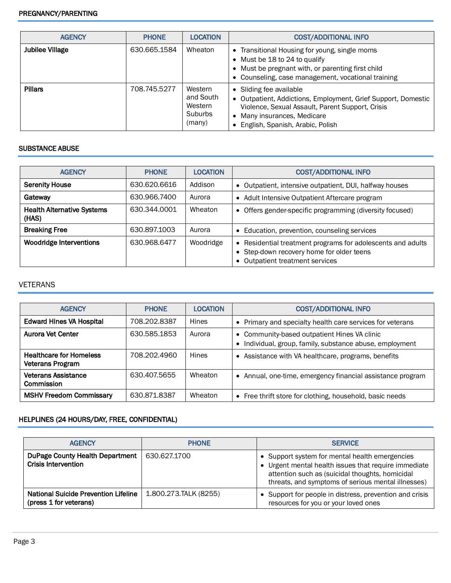| <b>AGENCY</b>          | <b>PHONE</b> | <b>LOCATION</b>                                      | <b>COST/ADDITIONAL INFO</b>                                                                                                                                                                                       |
|------------------------|--------------|------------------------------------------------------|-------------------------------------------------------------------------------------------------------------------------------------------------------------------------------------------------------------------|
| <b>Jubilee Village</b> | 630.665.1584 | Wheaton                                              | • Transitional Housing for young, single moms<br>• Must be 18 to 24 to qualify<br>• Must be pregnant with, or parenting first child<br>• Counseling, case management, vocational training                         |
| <b>Pillars</b>         | 708.745.5277 | Western<br>and South<br>Western<br>Suburbs<br>(many) | • Sliding fee available<br>• Outpatient, Addictions, Employment, Grief Support, Domestic<br>Violence, Sexual Assault, Parent Support, Crisis<br>• Many insurances, Medicare<br>• English, Spanish, Arabic, Polish |

#### SUBSTANCE ABUSE

| <b>AGENCY</b>                              | <b>PHONE</b> | <b>LOCATION</b> | <b>COST/ADDITIONAL INFO</b>                                                                                                                            |
|--------------------------------------------|--------------|-----------------|--------------------------------------------------------------------------------------------------------------------------------------------------------|
| <b>Serenity House</b>                      | 630.620.6616 | Addison         | • Outpatient, intensive outpatient, DUI, halfway houses                                                                                                |
| Gateway                                    | 630.966.7400 | Aurora          | Adult Intensive Outpatient Aftercare program<br>$\bullet$                                                                                              |
| <b>Health Alternative Systems</b><br>(HAS) | 630.344.0001 | Wheaton         | • Offers gender-specific programming (diversity focused)                                                                                               |
| <b>Breaking Free</b>                       | 630.897.1003 | Aurora          | • Education, prevention, counseling services                                                                                                           |
| Woodridge Interventions                    | 630.968.6477 | Woodridge       | Residential treatment programs for adolescents and adults<br>$\bullet$<br>• Step-down recovery home for older teens<br>• Outpatient treatment services |

## VETERANS

| <b>AGENCY</b>                                      | <b>PHONE</b> | LOCATION | <b>COST/ADDITIONAL INFO</b>                                                                            |
|----------------------------------------------------|--------------|----------|--------------------------------------------------------------------------------------------------------|
| <b>Edward Hines VA Hospital</b>                    | 708.202.8387 | Hines    | • Primary and specialty health care services for veterans                                              |
| Aurora Vet Center                                  | 630.585.1853 | Aurora   | • Community-based outpatient Hines VA clinic<br>Individual, group, family, substance abuse, employment |
| <b>Healthcare for Homeless</b><br>Veterans Program | 708.202.4960 | Hines    | • Assistance with VA healthcare, programs, benefits                                                    |
| <b>Veterans Assistance</b><br>Commission           | 630.407.5655 | Wheaton  | • Annual, one-time, emergency financial assistance program                                             |
| <b>MSHV Freedom Commissary</b>                     | 630.871.8387 | Wheaton  | • Free thrift store for clothing, household, basic needs                                               |

# HELPLINES (24 HOURS/DAY, FREE, CONFIDENTIAL)

| <b>AGENCY</b>                                                        | <b>PHONE</b>          | <b>SERVICE</b>                                                                                                                                                                                                |
|----------------------------------------------------------------------|-----------------------|---------------------------------------------------------------------------------------------------------------------------------------------------------------------------------------------------------------|
| <b>DuPage County Health Department</b><br><b>Crisis Intervention</b> | 630.627.1700          | • Support system for mental health emergencies<br>Urgent mental health issues that require immediate<br>attention such as (suicidal thoughts, homicidal<br>threats, and symptoms of serious mental illnesses) |
| National Suicide Prevention Lifeline<br>(press 1 for veterans)       | 1.800.273.TALK (8255) | Support for people in distress, prevention and crisis<br>resources for you or your loved ones                                                                                                                 |